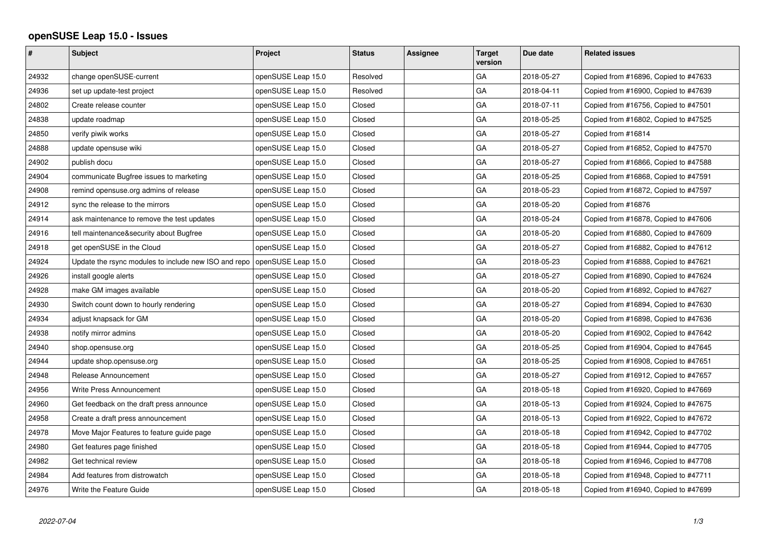## **openSUSE Leap 15.0 - Issues**

| #     | <b>Subject</b>                                                                  | Project            | <b>Status</b> | Assignee | <b>Target</b><br>version | Due date   | <b>Related issues</b>                |
|-------|---------------------------------------------------------------------------------|--------------------|---------------|----------|--------------------------|------------|--------------------------------------|
| 24932 | change openSUSE-current                                                         | openSUSE Leap 15.0 | Resolved      |          | GA                       | 2018-05-27 | Copied from #16896, Copied to #47633 |
| 24936 | set up update-test project                                                      | openSUSE Leap 15.0 | Resolved      |          | GА                       | 2018-04-11 | Copied from #16900, Copied to #47639 |
| 24802 | Create release counter                                                          | openSUSE Leap 15.0 | Closed        |          | GA                       | 2018-07-11 | Copied from #16756, Copied to #47501 |
| 24838 | update roadmap                                                                  | openSUSE Leap 15.0 | Closed        |          | GA                       | 2018-05-25 | Copied from #16802, Copied to #47525 |
| 24850 | verify piwik works                                                              | openSUSE Leap 15.0 | Closed        |          | GA                       | 2018-05-27 | Copied from #16814                   |
| 24888 | update opensuse wiki                                                            | openSUSE Leap 15.0 | Closed        |          | GA                       | 2018-05-27 | Copied from #16852, Copied to #47570 |
| 24902 | publish docu                                                                    | openSUSE Leap 15.0 | Closed        |          | GA                       | 2018-05-27 | Copied from #16866, Copied to #47588 |
| 24904 | communicate Bugfree issues to marketing                                         | openSUSE Leap 15.0 | Closed        |          | GA                       | 2018-05-25 | Copied from #16868, Copied to #47591 |
| 24908 | remind opensuse.org admins of release                                           | openSUSE Leap 15.0 | Closed        |          | GA                       | 2018-05-23 | Copied from #16872, Copied to #47597 |
| 24912 | sync the release to the mirrors                                                 | openSUSE Leap 15.0 | Closed        |          | GA                       | 2018-05-20 | Copied from #16876                   |
| 24914 | ask maintenance to remove the test updates                                      | openSUSE Leap 15.0 | Closed        |          | GA                       | 2018-05-24 | Copied from #16878, Copied to #47606 |
| 24916 | tell maintenance&security about Bugfree                                         | openSUSE Leap 15.0 | Closed        |          | GA                       | 2018-05-20 | Copied from #16880, Copied to #47609 |
| 24918 | get openSUSE in the Cloud                                                       | openSUSE Leap 15.0 | Closed        |          | GА                       | 2018-05-27 | Copied from #16882, Copied to #47612 |
| 24924 | Update the rsync modules to include new ISO and repo $\vert$ openSUSE Leap 15.0 |                    | Closed        |          | GA                       | 2018-05-23 | Copied from #16888, Copied to #47621 |
| 24926 | install google alerts                                                           | openSUSE Leap 15.0 | Closed        |          | GA                       | 2018-05-27 | Copied from #16890, Copied to #47624 |
| 24928 | make GM images available                                                        | openSUSE Leap 15.0 | Closed        |          | GA                       | 2018-05-20 | Copied from #16892, Copied to #47627 |
| 24930 | Switch count down to hourly rendering                                           | openSUSE Leap 15.0 | Closed        |          | GA                       | 2018-05-27 | Copied from #16894, Copied to #47630 |
| 24934 | adjust knapsack for GM                                                          | openSUSE Leap 15.0 | Closed        |          | GA                       | 2018-05-20 | Copied from #16898, Copied to #47636 |
| 24938 | notify mirror admins                                                            | openSUSE Leap 15.0 | Closed        |          | GA                       | 2018-05-20 | Copied from #16902, Copied to #47642 |
| 24940 | shop.opensuse.org                                                               | openSUSE Leap 15.0 | Closed        |          | GA                       | 2018-05-25 | Copied from #16904, Copied to #47645 |
| 24944 | update shop.opensuse.org                                                        | openSUSE Leap 15.0 | Closed        |          | GA                       | 2018-05-25 | Copied from #16908, Copied to #47651 |
| 24948 | Release Announcement                                                            | openSUSE Leap 15.0 | Closed        |          | GA                       | 2018-05-27 | Copied from #16912, Copied to #47657 |
| 24956 | Write Press Announcement                                                        | openSUSE Leap 15.0 | Closed        |          | GA                       | 2018-05-18 | Copied from #16920, Copied to #47669 |
| 24960 | Get feedback on the draft press announce                                        | openSUSE Leap 15.0 | Closed        |          | GA                       | 2018-05-13 | Copied from #16924, Copied to #47675 |
| 24958 | Create a draft press announcement                                               | openSUSE Leap 15.0 | Closed        |          | GA                       | 2018-05-13 | Copied from #16922, Copied to #47672 |
| 24978 | Move Major Features to feature guide page                                       | openSUSE Leap 15.0 | Closed        |          | GA                       | 2018-05-18 | Copied from #16942, Copied to #47702 |
| 24980 | Get features page finished                                                      | openSUSE Leap 15.0 | Closed        |          | GA                       | 2018-05-18 | Copied from #16944, Copied to #47705 |
| 24982 | Get technical review                                                            | openSUSE Leap 15.0 | Closed        |          | GA                       | 2018-05-18 | Copied from #16946, Copied to #47708 |
| 24984 | Add features from distrowatch                                                   | openSUSE Leap 15.0 | Closed        |          | GА                       | 2018-05-18 | Copied from #16948, Copied to #47711 |
| 24976 | Write the Feature Guide                                                         | openSUSE Leap 15.0 | Closed        |          | GA                       | 2018-05-18 | Copied from #16940, Copied to #47699 |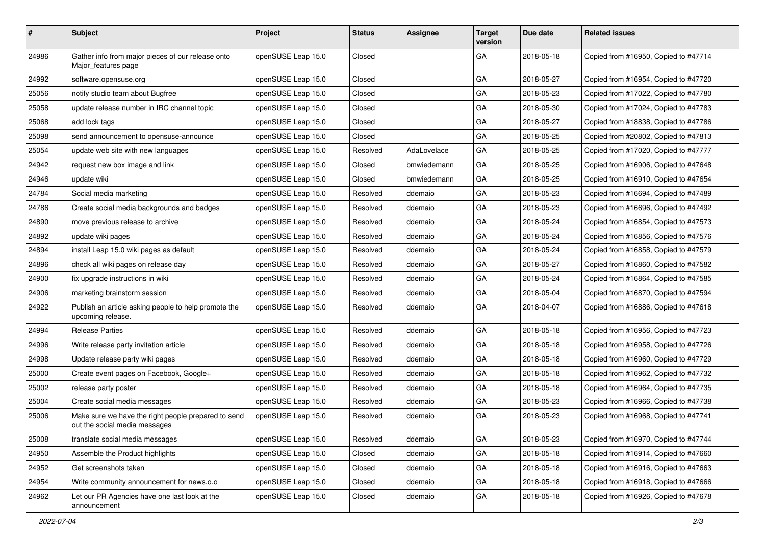| $\vert$ # | Subject                                                                              | Project            | <b>Status</b> | <b>Assignee</b> | <b>Target</b><br>version | Due date   | <b>Related issues</b>                |
|-----------|--------------------------------------------------------------------------------------|--------------------|---------------|-----------------|--------------------------|------------|--------------------------------------|
| 24986     | Gather info from major pieces of our release onto<br>Major features page             | openSUSE Leap 15.0 | Closed        |                 | GA                       | 2018-05-18 | Copied from #16950, Copied to #47714 |
| 24992     | software.opensuse.org                                                                | openSUSE Leap 15.0 | Closed        |                 | GA                       | 2018-05-27 | Copied from #16954, Copied to #47720 |
| 25056     | notify studio team about Bugfree                                                     | openSUSE Leap 15.0 | Closed        |                 | GA                       | 2018-05-23 | Copied from #17022, Copied to #47780 |
| 25058     | update release number in IRC channel topic                                           | openSUSE Leap 15.0 | Closed        |                 | GA                       | 2018-05-30 | Copied from #17024, Copied to #47783 |
| 25068     | add lock tags                                                                        | openSUSE Leap 15.0 | Closed        |                 | GA                       | 2018-05-27 | Copied from #18838, Copied to #47786 |
| 25098     | send announcement to opensuse-announce                                               | openSUSE Leap 15.0 | Closed        |                 | GA                       | 2018-05-25 | Copied from #20802, Copied to #47813 |
| 25054     | update web site with new languages                                                   | openSUSE Leap 15.0 | Resolved      | AdaLovelace     | GA                       | 2018-05-25 | Copied from #17020, Copied to #47777 |
| 24942     | request new box image and link                                                       | openSUSE Leap 15.0 | Closed        | bmwiedemann     | GA                       | 2018-05-25 | Copied from #16906, Copied to #47648 |
| 24946     | update wiki                                                                          | openSUSE Leap 15.0 | Closed        | bmwiedemann     | GA                       | 2018-05-25 | Copied from #16910, Copied to #47654 |
| 24784     | Social media marketing                                                               | openSUSE Leap 15.0 | Resolved      | ddemaio         | GA                       | 2018-05-23 | Copied from #16694, Copied to #47489 |
| 24786     | Create social media backgrounds and badges                                           | openSUSE Leap 15.0 | Resolved      | ddemaio         | GA                       | 2018-05-23 | Copied from #16696, Copied to #47492 |
| 24890     | move previous release to archive                                                     | openSUSE Leap 15.0 | Resolved      | ddemaio         | GA                       | 2018-05-24 | Copied from #16854, Copied to #47573 |
| 24892     | update wiki pages                                                                    | openSUSE Leap 15.0 | Resolved      | ddemaio         | GA                       | 2018-05-24 | Copied from #16856, Copied to #47576 |
| 24894     | install Leap 15.0 wiki pages as default                                              | openSUSE Leap 15.0 | Resolved      | ddemaio         | GA                       | 2018-05-24 | Copied from #16858, Copied to #47579 |
| 24896     | check all wiki pages on release day                                                  | openSUSE Leap 15.0 | Resolved      | ddemaio         | GA                       | 2018-05-27 | Copied from #16860, Copied to #47582 |
| 24900     | fix upgrade instructions in wiki                                                     | openSUSE Leap 15.0 | Resolved      | ddemaio         | GA                       | 2018-05-24 | Copied from #16864, Copied to #47585 |
| 24906     | marketing brainstorm session                                                         | openSUSE Leap 15.0 | Resolved      | ddemaio         | GA                       | 2018-05-04 | Copied from #16870, Copied to #47594 |
| 24922     | Publish an article asking people to help promote the<br>upcoming release.            | openSUSE Leap 15.0 | Resolved      | ddemaio         | GA                       | 2018-04-07 | Copied from #16886, Copied to #47618 |
| 24994     | <b>Release Parties</b>                                                               | openSUSE Leap 15.0 | Resolved      | ddemaio         | GA                       | 2018-05-18 | Copied from #16956, Copied to #47723 |
| 24996     | Write release party invitation article                                               | openSUSE Leap 15.0 | Resolved      | ddemaio         | GA                       | 2018-05-18 | Copied from #16958, Copied to #47726 |
| 24998     | Update release party wiki pages                                                      | openSUSE Leap 15.0 | Resolved      | ddemaio         | GA                       | 2018-05-18 | Copied from #16960, Copied to #47729 |
| 25000     | Create event pages on Facebook, Google+                                              | openSUSE Leap 15.0 | Resolved      | ddemaio         | GA                       | 2018-05-18 | Copied from #16962, Copied to #47732 |
| 25002     | release party poster                                                                 | openSUSE Leap 15.0 | Resolved      | ddemaio         | GA                       | 2018-05-18 | Copied from #16964, Copied to #47735 |
| 25004     | Create social media messages                                                         | openSUSE Leap 15.0 | Resolved      | ddemaio         | GA                       | 2018-05-23 | Copied from #16966, Copied to #47738 |
| 25006     | Make sure we have the right people prepared to send<br>out the social media messages | openSUSE Leap 15.0 | Resolved      | ddemaio         | GA                       | 2018-05-23 | Copied from #16968, Copied to #47741 |
| 25008     | translate social media messages                                                      | openSUSE Leap 15.0 | Resolved      | ddemaio         | GA                       | 2018-05-23 | Copied from #16970, Copied to #47744 |
| 24950     | Assemble the Product highlights                                                      | openSUSE Leap 15.0 | Closed        | ddemaio         | GA                       | 2018-05-18 | Copied from #16914, Copied to #47660 |
| 24952     | Get screenshots taken                                                                | openSUSE Leap 15.0 | Closed        | ddemaio         | GA                       | 2018-05-18 | Copied from #16916, Copied to #47663 |
| 24954     | Write community announcement for news.o.o                                            | openSUSE Leap 15.0 | Closed        | ddemaio         | GA                       | 2018-05-18 | Copied from #16918, Copied to #47666 |
| 24962     | Let our PR Agencies have one last look at the<br>announcement                        | openSUSE Leap 15.0 | Closed        | ddemaio         | GA                       | 2018-05-18 | Copied from #16926, Copied to #47678 |